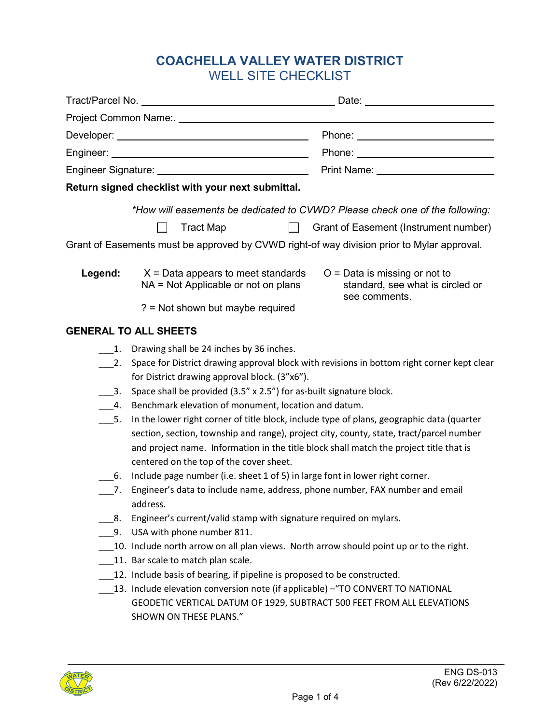# **COACHELLA VALLEY WATER DISTRICT** WELL SITE CHECKLIST

|                                                                                            | Project Common Name:. Name and the contract of the contract of the contract of the contract of the contract of                                                                                                                                                                                                            |
|--------------------------------------------------------------------------------------------|---------------------------------------------------------------------------------------------------------------------------------------------------------------------------------------------------------------------------------------------------------------------------------------------------------------------------|
|                                                                                            | Phone: ____________________________                                                                                                                                                                                                                                                                                       |
|                                                                                            |                                                                                                                                                                                                                                                                                                                           |
|                                                                                            | Print Name: University Print Name:                                                                                                                                                                                                                                                                                        |
| Return signed checklist with your next submittal.                                          |                                                                                                                                                                                                                                                                                                                           |
|                                                                                            | *How will easements be dedicated to CVWD? Please check one of the following:                                                                                                                                                                                                                                              |
|                                                                                            | <b>Tract Map</b><br>Grant of Easement (Instrument number)<br>$\mathbb{R}$                                                                                                                                                                                                                                                 |
| Grant of Easements must be approved by CVWD right-of way division prior to Mylar approval. |                                                                                                                                                                                                                                                                                                                           |
| Legend:                                                                                    | $X = Data$ appears to meet standards<br>$O = Data$ is missing or not to<br>NA = Not Applicable or not on plans<br>standard, see what is circled or<br>see comments.<br>? = Not shown but maybe required                                                                                                                   |
| <b>GENERAL TO ALL SHEETS</b>                                                               |                                                                                                                                                                                                                                                                                                                           |
|                                                                                            |                                                                                                                                                                                                                                                                                                                           |
| 1.<br>2.<br>3.                                                                             | Drawing shall be 24 inches by 36 inches.<br>Space for District drawing approval block with revisions in bottom right corner kept clear<br>for District drawing approval block. (3"x6").<br>Space shall be provided (3.5" x 2.5") for as-built signature block.                                                            |
| 4.                                                                                         | Benchmark elevation of monument, location and datum.                                                                                                                                                                                                                                                                      |
| 5.                                                                                         | In the lower right corner of title block, include type of plans, geographic data (quarter<br>section, section, township and range), project city, county, state, tract/parcel number<br>and project name. Information in the title block shall match the project title that is<br>centered on the top of the cover sheet. |
| 6.<br>7.                                                                                   | Include page number (i.e. sheet 1 of 5) in large font in lower right corner.<br>Engineer's data to include name, address, phone number, FAX number and email<br>address.                                                                                                                                                  |
| 8.                                                                                         | Engineer's current/valid stamp with signature required on mylars.                                                                                                                                                                                                                                                         |
| 9.                                                                                         | USA with phone number 811.                                                                                                                                                                                                                                                                                                |
|                                                                                            | 10. Include north arrow on all plan views. North arrow should point up or to the right.                                                                                                                                                                                                                                   |
|                                                                                            | 11. Bar scale to match plan scale.<br>12. Include basis of bearing, if pipeline is proposed to be constructed.                                                                                                                                                                                                            |
|                                                                                            | 13. Include elevation conversion note (if applicable) - "TO CONVERT TO NATIONAL<br>GEODETIC VERTICAL DATUM OF 1929, SUBTRACT 500 FEET FROM ALL ELEVATIONS<br>SHOWN ON THESE PLANS."                                                                                                                                       |

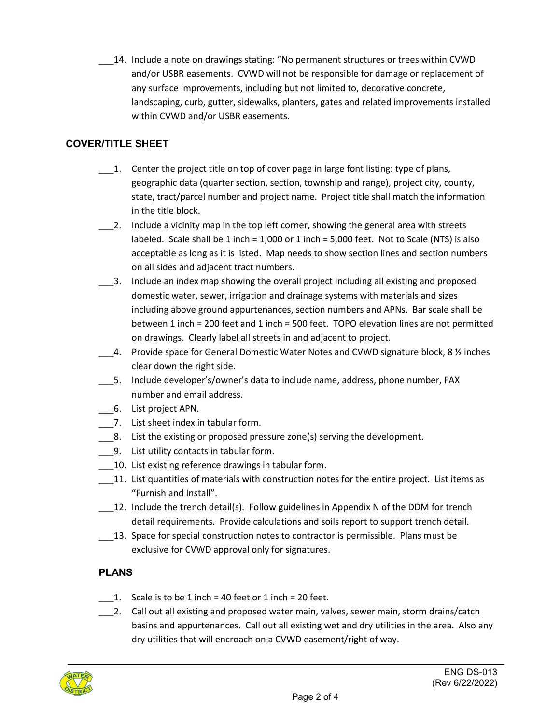\_\_\_14. Include a note on drawings stating: "No permanent structures or trees within CVWD and/or USBR easements. CVWD will not be responsible for damage or replacement of any surface improvements, including but not limited to, decorative concrete, landscaping, curb, gutter, sidewalks, planters, gates and related improvements installed within CVWD and/or USBR easements.

### **COVER/TITLE SHEET**

- $\_\_\_\$ 1. Center the project title on top of cover page in large font listing: type of plans, geographic data (quarter section, section, township and range), project city, county, state, tract/parcel number and project name. Project title shall match the information in the title block.
- \_\_\_2. Include a vicinity map in the top left corner, showing the general area with streets labeled. Scale shall be 1 inch = 1,000 or 1 inch = 5,000 feet. Not to Scale (NTS) is also acceptable as long as it is listed. Map needs to show section lines and section numbers on all sides and adjacent tract numbers.
- \_\_\_3. Include an index map showing the overall project including all existing and proposed domestic water, sewer, irrigation and drainage systems with materials and sizes including above ground appurtenances, section numbers and APNs. Bar scale shall be between 1 inch = 200 feet and 1 inch = 500 feet. TOPO elevation lines are not permitted on drawings. Clearly label all streets in and adjacent to project.
- 4. Provide space for General Domestic Water Notes and CVWD signature block, 8 1/2 inches clear down the right side.
- \_\_\_5. Include developer's/owner's data to include name, address, phone number, FAX number and email address.
- \_\_\_6. List project APN.
- 7. List sheet index in tabular form.
- \_\_\_8. List the existing or proposed pressure zone(s) serving the development.
- \_\_\_9. List utility contacts in tabular form.
- \_\_\_10. List existing reference drawings in tabular form.
- 11. List quantities of materials with construction notes for the entire project. List items as "Furnish and Install".
- $\_12$ . Include the trench detail(s). Follow guidelines in Appendix N of the DDM for trench detail requirements. Provide calculations and soils report to support trench detail.
- \_\_\_13. Space for special construction notes to contractor is permissible. Plans must be exclusive for CVWD approval only for signatures.

## **PLANS**

- 1. Scale is to be 1 inch = 40 feet or 1 inch = 20 feet.
- 2. Call out all existing and proposed water main, valves, sewer main, storm drains/catch basins and appurtenances. Call out all existing wet and dry utilities in the area. Also any dry utilities that will encroach on a CVWD easement/right of way.

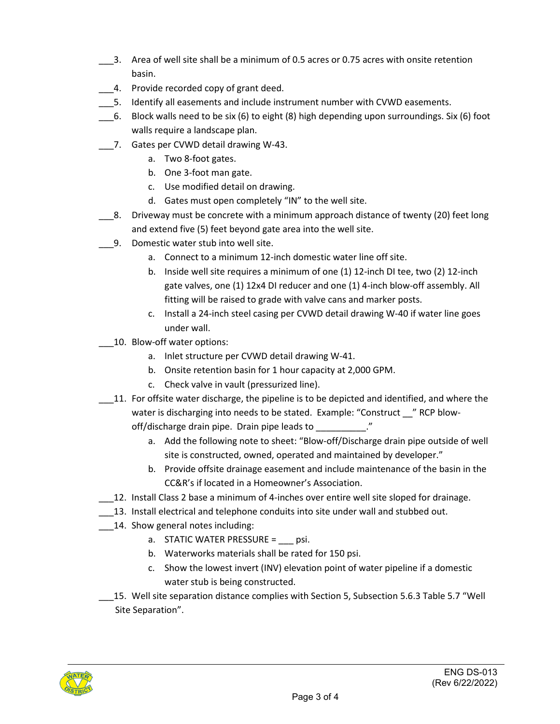- \_\_\_3. Area of well site shall be a minimum of 0.5 acres or 0.75 acres with onsite retention basin.
- 4. Provide recorded copy of grant deed.
- \_\_\_5. Identify all easements and include instrument number with CVWD easements.
- \_\_\_6. Block walls need to be six (6) to eight (8) high depending upon surroundings. Six (6) foot walls require a landscape plan.
- \_\_\_7. Gates per CVWD detail drawing W-43.
	- a. Two 8-foot gates.
	- b. One 3-foot man gate.
	- c. Use modified detail on drawing.
	- d. Gates must open completely "IN" to the well site.
- \_\_\_8. Driveway must be concrete with a minimum approach distance of twenty (20) feet long and extend five (5) feet beyond gate area into the well site.
- \_\_\_9. Domestic water stub into well site.
	- a. Connect to a minimum 12-inch domestic water line off site.
	- b. Inside well site requires a minimum of one (1) 12-inch DI tee, two (2) 12-inch gate valves, one (1) 12x4 DI reducer and one (1) 4-inch blow-off assembly. All fitting will be raised to grade with valve cans and marker posts.
	- c. Install a 24-inch steel casing per CVWD detail drawing W-40 if water line goes under wall.
- 10. Blow-off water options:
	- a. Inlet structure per CVWD detail drawing W-41.
	- b. Onsite retention basin for 1 hour capacity at 2,000 GPM.
	- c. Check valve in vault (pressurized line).
- \_\_\_11. For offsite water discharge, the pipeline is to be depicted and identified, and where the water is discharging into needs to be stated. Example: "Construct \_\_\_" RCP blowoff/discharge drain pipe. Drain pipe leads to \_\_\_\_\_\_\_\_\_\_."
	- a. Add the following note to sheet: "Blow-off/Discharge drain pipe outside of well site is constructed, owned, operated and maintained by developer."
	- b. Provide offsite drainage easement and include maintenance of the basin in the CC&R's if located in a Homeowner's Association.
- \_\_\_12. Install Class 2 base a minimum of 4-inches over entire well site sloped for drainage.
	- \_\_\_13. Install electrical and telephone conduits into site under wall and stubbed out.
- 14. Show general notes including:
	- a. STATIC WATER PRESSURE = psi.
	- b. Waterworks materials shall be rated for 150 psi.
	- c. Show the lowest invert (INV) elevation point of water pipeline if a domestic water stub is being constructed.
- \_\_\_15. Well site separation distance complies with Section 5, Subsection 5.6.3 Table 5.7 "Well Site Separation".